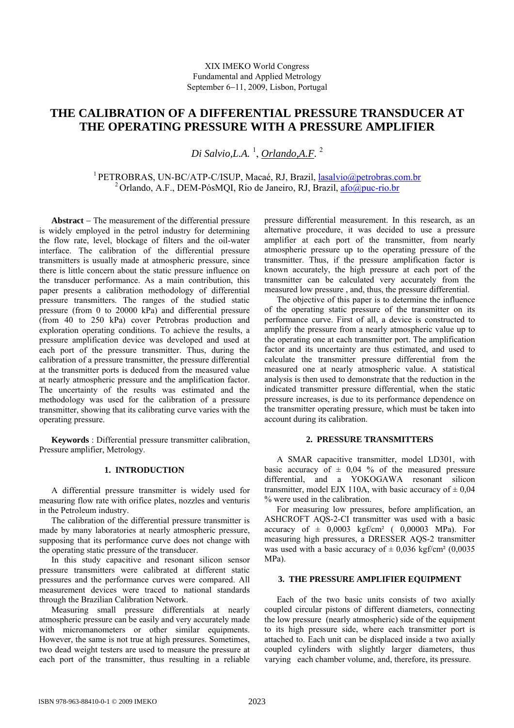# **THE CALIBRATION OF A DIFFERENTIAL PRESSURE TRANSDUCER AT THE OPERATING PRESSURE WITH A PRESSURE AMPLIFIER**

*Di Salvio,L.A.* <sup>1</sup> , *Orlando,A.F.* <sup>2</sup>

<sup>1</sup> PETROBRAS, UN-BC/ATP-C/ISUP, Macaé, RJ, Brazil, **lasalvio@petrobras.com.br** <sup>2</sup> Orlando, A.F., DEM-PósMQI, Rio de Janeiro, RJ, Brazil,  $\frac{\text{afo@puc-rio.br}}{\text{afo@puc-rio.br}}$ 

**Abstract** − The measurement of the differential pressure is widely employed in the petrol industry for determining the flow rate, level, blockage of filters and the oil-water interface. The calibration of the differential pressure transmitters is usually made at atmospheric pressure, since there is little concern about the static pressure influence on the transducer performance. As a main contribution, this paper presents a calibration methodology of differential pressure transmitters. The ranges of the studied static pressure (from 0 to 20000 kPa) and differential pressure (from 40 to 250 kPa) cover Petrobras production and exploration operating conditions. To achieve the results, a pressure amplification device was developed and used at each port of the pressure transmitter. Thus, during the calibration of a pressure transmitter, the pressure differential at the transmitter ports is deduced from the measured value at nearly atmospheric pressure and the amplification factor. The uncertainty of the results was estimated and the methodology was used for the calibration of a pressure transmitter, showing that its calibrating curve varies with the operating pressure.

**Keywords** : Differential pressure transmitter calibration, Pressure amplifier, Metrology.

## **1. INTRODUCTION**

A differential pressure transmitter is widely used for measuring flow rate with orifice plates, nozzles and venturis in the Petroleum industry.

The calibration of the differential pressure transmitter is made by many laboratories at nearly atmospheric pressure, supposing that its performance curve does not change with the operating static pressure of the transducer.

In this study capacitive and resonant silicon sensor pressure transmitters were calibrated at different static pressures and the performance curves were compared. All measurement devices were traced to national standards through the Brazilian Calibration Network.

Measuring small pressure differentials at nearly atmospheric pressure can be easily and very accurately made with micromanometers or other similar equipments. However, the same is not true at high pressures. Sometimes, two dead weight testers are used to measure the pressure at each port of the transmitter, thus resulting in a reliable

pressure differential measurement. In this research, as an alternative procedure, it was decided to use a pressure amplifier at each port of the transmitter, from nearly atmospheric pressure up to the operating pressure of the transmitter. Thus, if the pressure amplification factor is known accurately, the high pressure at each port of the transmitter can be calculated very accurately from the measured low pressure , and, thus, the pressure differential.

The objective of this paper is to determine the influence of the operating static pressure of the transmitter on its performance curve. First of all, a device is constructed to amplify the pressure from a nearly atmospheric value up to the operating one at each transmitter port. The amplification factor and its uncertainty are thus estimated, and used to calculate the transmitter pressure differential from the measured one at nearly atmospheric value. A statistical analysis is then used to demonstrate that the reduction in the indicated transmitter pressure differential, when the static pressure increases, is due to its performance dependence on the transmitter operating pressure, which must be taken into account during its calibration.

## **2. PRESSURE TRANSMITTERS**

A SMAR capacitive transmitter, model LD301, with basic accuracy of  $\pm$  0,04 % of the measured pressure differential, and a YOKOGAWA resonant silicon transmitter, model EJX 110A, with basic accuracy of  $\pm 0.04$ % were used in the calibration.

For measuring low pressures, before amplification, an ASHCROFT AQS-2-CI transmitter was used with a basic accuracy of  $\pm$  0,0003 kgf/cm<sup>2</sup> (0,00003 MPa). For measuring high pressures, a DRESSER AQS-2 transmitter was used with a basic accuracy of  $\pm$  0,036 kgf/cm<sup>2</sup> (0,0035) MPa).

### **3. THE PRESSURE AMPLIFIER EQUIPMENT**

Each of the two basic units consists of two axially coupled circular pistons of different diameters, connecting the low pressure (nearly atmospheric) side of the equipment to its high pressure side, where each transmitter port is attached to. Each unit can be displaced inside a two axially coupled cylinders with slightly larger diameters, thus varying each chamber volume, and, therefore, its pressure.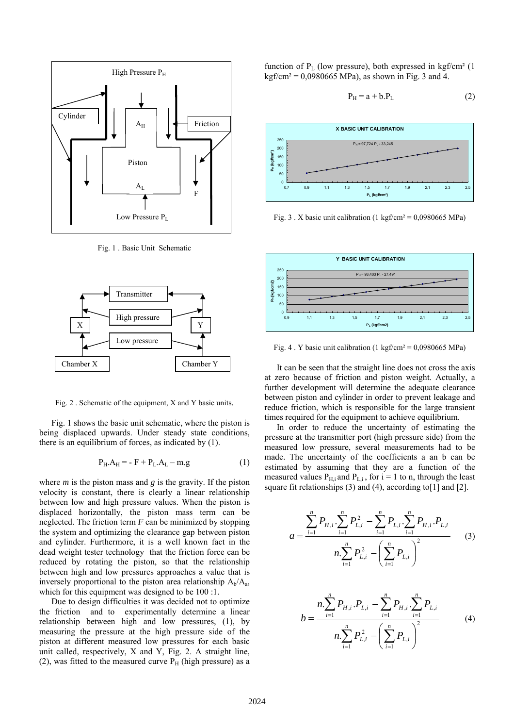

Fig. 1 . Basic Unit Schematic



Fig. 2 . Schematic of the equipment, X and Y basic units.

Fig. 1 shows the basic unit schematic, where the piston is being displaced upwards. Under steady state conditions, there is an equilibrium of forces, as indicated by (1).

$$
P_H.A_H = -F + P_L.A_L - m.g \tag{1}
$$

where *m* is the piston mass and *g* is the gravity. If the piston velocity is constant, there is clearly a linear relationship between low and high pressure values. When the piston is displaced horizontally, the piston mass term can be neglected. The friction term *F* can be minimized by stopping the system and optimizing the clearance gap between piston and cylinder. Furthermore, it is a well known fact in the dead weight tester technology that the friction force can be reduced by rotating the piston, so that the relationship between high and low pressures approaches a value that is inversely proportional to the piston area relationship  $A_b/A_a$ , which for this equipment was designed to be 100 :1.

Due to design difficulties it was decided not to optimize the friction and to experimentally determine a linear relationship between high and low pressures, (1), by measuring the pressure at the high pressure side of the piston at different measured low pressures for each basic unit called, respectively, X and Y, Fig. 2. A straight line, (2), was fitted to the measured curve  $P_H$  (high pressure) as a function of  $P_L$  (low pressure), both expressed in kgf/cm<sup>2</sup> (1)  $k \frac{gf}{cm^2} = 0.0980665 \text{ MPa}$ , as shown in Fig. 3 and 4.

$$
P_H = a + b.P_L \tag{2}
$$



Fig. 3. X basic unit calibration (1 kgf/cm<sup>2</sup> = 0,0980665 MPa)



Fig. 4. Y basic unit calibration  $(1 \text{ kgf/cm}^2 = 0.0980665 \text{ MPa})$ 

It can be seen that the straight line does not cross the axis at zero because of friction and piston weight. Actually, a further development will determine the adequate clearance between piston and cylinder in order to prevent leakage and reduce friction, which is responsible for the large transient times required for the equipment to achieve equilibrium.

In order to reduce the uncertainty of estimating the pressure at the transmitter port (high pressure side) from the measured low pressure, several measurements had to be made. The uncertainty of the coefficients a an b can be estimated by assuming that they are a function of the measured values  $P_{H,i}$  and  $P_{Li}$ , for  $i = 1$  to n, through the least square fit relationships  $(3)$  and  $(4)$ , according to [1] and [2].

$$
a = \frac{\sum_{i=1}^{n} P_{H,i} \cdot \sum_{i=1}^{n} P_{L,i}^{2} - \sum_{i=1}^{n} P_{L,i} \cdot \sum_{i=1}^{n} P_{H,i} \cdot P_{L,i}}{n \cdot \sum_{i=1}^{n} P_{L,i}^{2} - \left(\sum_{i=1}^{n} P_{L,i}\right)^{2}}
$$
(3)

$$
b = \frac{n \sum_{i=1}^{n} P_{H,i} P_{L,i} - \sum_{i=1}^{n} P_{H,i} \cdot \sum_{i=1}^{n} P_{L,i}}{n \sum_{i=1}^{n} P_{L,i}^{2} - \left(\sum_{i=1}^{n} P_{L,i}\right)^{2}}
$$
(4)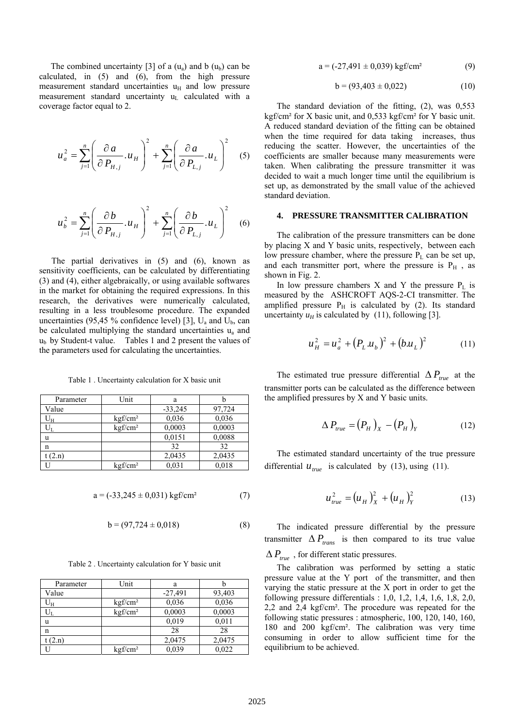The combined uncertainty [3] of a  $(u_a)$  and b  $(u_b)$  can be calculated, in (5) and (6), from the high pressure measurement standard uncertainties  $u_H$  and low pressure measurement standard uncertainty  $u<sub>L</sub>$  calculated with a coverage factor equal to 2.

$$
u_a^2 = \sum_{j=1}^n \left( \frac{\partial a}{\partial P_{H,j}} u_H \right)^2 + \sum_{j=1}^n \left( \frac{\partial a}{\partial P_{L,j}} u_L \right)^2 \quad (5)
$$

$$
u_b^2 = \sum_{j=1}^n \left( \frac{\partial b}{\partial P_{H,j}} u_H \right)^2 + \sum_{j=1}^n \left( \frac{\partial b}{\partial P_{L,j}} u_L \right)^2 \quad (6)
$$

The partial derivatives in (5) and (6), known as sensitivity coefficients, can be calculated by differentiating (3) and (4), either algebraically, or using available softwares in the market for obtaining the required expressions. In this research, the derivatives were numerically calculated, resulting in a less troublesome procedure. The expanded uncertainties (95,45 % confidence level) [3],  $U_a$  and  $U_b$ , can be calculated multiplying the standard uncertainties  $u_a$  and  $u<sub>b</sub>$  by Student-t value. Tables 1 and 2 present the values of the parameters used for calculating the uncertainties.

| Table 1. Uncertainty calculation for X basic unit |
|---------------------------------------------------|
|---------------------------------------------------|

| Parameter         | Unit                   | a         |        |
|-------------------|------------------------|-----------|--------|
| Value             |                        | $-33,245$ | 97,724 |
| ${\rm U}_{\rm H}$ | kgf/cm <sup>2</sup>    | 0.036     | 0,036  |
| $\rm U_L$         | $k$ gf/cm <sup>2</sup> | 0,0003    | 0.0003 |
| u                 |                        | 0.0151    | 0,0088 |
| n                 |                        | 32        | 32     |
| (2.n)             |                        | 2,0435    | 2,0435 |
|                   | $k$ gf/cm <sup>2</sup> | 0.031     | 0.018  |

$$
a = (-33,245 \pm 0,031) \text{ kgf/cm}^2 \tag{7}
$$

$$
b = (97,724 \pm 0,018) \tag{8}
$$

Table 2 . Uncertainty calculation for Y basic unit

| Parameter | Unit                | a         |        |
|-----------|---------------------|-----------|--------|
| Value     |                     | $-27,491$ | 93,403 |
| $U_H$     | kgf/cm <sup>2</sup> | 0,036     | 0,036  |
|           | kgf/cm <sup>2</sup> | 0,0003    | 0,0003 |
| u         |                     | 0,019     | 0,011  |
| n         |                     | 28        | 28     |
| (2.n)     |                     | 2,0475    | 2,0475 |
|           | kgf/cm <sup>2</sup> | 0,039     | 0,022  |

$$
a = (-27,491 \pm 0,039) \text{ kgf/cm}^2 \tag{9}
$$

$$
b = (93,403 \pm 0,022) \tag{10}
$$

The standard deviation of the fitting, (2), was 0,553 kgf/cm² for X basic unit, and 0,533 kgf/cm² for Y basic unit. A reduced standard deviation of the fitting can be obtained when the time required for data taking increases, thus reducing the scatter. However, the uncertainties of the coefficients are smaller because many measurements were taken. When calibrating the pressure transmitter it was decided to wait a much longer time until the equilibrium is set up, as demonstrated by the small value of the achieved standard deviation.

#### **4. PRESSURE TRANSMITTER CALIBRATION**

The calibration of the pressure transmitters can be done by placing X and Y basic units, respectively, between each low pressure chamber, where the pressure  $P_L$  can be set up, and each transmitter port, where the pressure is  $P_H$ , as shown in Fig. 2.

In low pressure chambers  $X$  and  $Y$  the pressure  $P_L$  is measured by the ASHCROFT AQS-2-CI transmitter. The amplified pressure  $P_H$  is calculated by (2). Its standard uncertainty  $u_H$  is calculated by (11), following [3].

$$
u_H^2 = u_a^2 + (P_L u_b)^2 + (b.u_L)^2 \tag{11}
$$

The estimated true pressure differential  $\Delta P_{true}$  at the transmitter ports can be calculated as the difference between the amplified pressures by X and Y basic units.

$$
\Delta P_{true} = (P_H)_X - (P_H)_Y \tag{12}
$$

The estimated standard uncertainty of the true pressure differential  $u_{true}$  is calculated by (13), using (11).

$$
u_{true}^{2} = (u_{H})_{X}^{2} + (u_{H})_{Y}^{2}
$$
 (13)

The indicated pressure differential by the pressure transmitter  $\Delta P_{trans}$  is then compared to its true value

 $\Delta P_{true}$ , for different static pressures.

The calibration was performed by setting a static pressure value at the Y port of the transmitter, and then varying the static pressure at the X port in order to get the following pressure differentials : 1,0, 1,2, 1,4, 1,6, 1,8, 2,0, 2,2 and 2,4 kgf/cm². The procedure was repeated for the following static pressures : atmospheric, 100, 120, 140, 160, 180 and 200 kgf/cm². The calibration was very time consuming in order to allow sufficient time for the equilibrium to be achieved.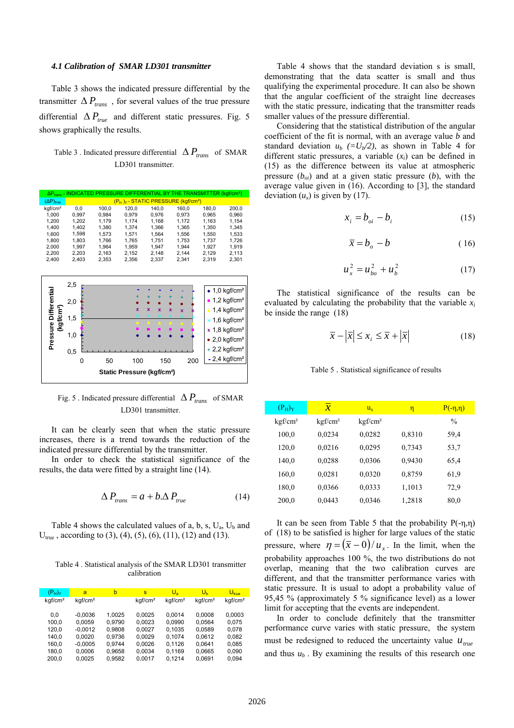#### *4.1 Calibration of SMAR LD301 transmitter*

Table 3 shows the indicated pressure differential by the transmitter  $\Delta P_{trans}$ , for several values of the true pressure differential  $\Delta P_{true}$  and different static pressures. Fig. 5 shows graphically the results.

## Table 3 . Indicated pressure differential  $\Delta P_{trans}$  of SMAR LD301 transmitter

|                     |       |       |       |       |                                                    | $\Delta P_{trans}$ - INDICATED PRESSURE DIFFERENTIAL BY THE TRANSMITTER (kgf/cm <sup>2</sup> ) |       |
|---------------------|-------|-------|-------|-------|----------------------------------------------------|------------------------------------------------------------------------------------------------|-------|
| $(\Delta P)_{true}$ |       |       |       |       | $(P_H)_Y$ - STATIC PRESSURE (kgf/cm <sup>2</sup> ) |                                                                                                |       |
| kgf/cm <sup>2</sup> | 0.0   | 100.0 | 120.0 | 140.0 | 160.0                                              | 180.0                                                                                          | 200.0 |
| 1.000               | 0.997 | 0.984 | 0.979 | 0.976 | 0.973                                              | 0.965                                                                                          | 0.960 |
| 1.200               | 1.202 | 1.179 | 1.174 | 1.168 | 1.172                                              | 1.163                                                                                          | 1.154 |
| 1.400               | 1.402 | 1.380 | 1.374 | 1.366 | 1.365                                              | 1.350                                                                                          | 1.345 |
| 1.600               | 1.598 | 1.573 | 1.571 | 1.564 | 1.556                                              | 1.550                                                                                          | 1.533 |
| 1.800               | 1.803 | 1.766 | 1.765 | 1.751 | 1.753                                              | 1.737                                                                                          | 1.726 |
| 2.000               | 1.997 | 1.964 | 1.959 | 1.947 | 1.944                                              | 1.927                                                                                          | 1.919 |
| 2.200               | 2.203 | 2.163 | 2.152 | 2.148 | 2.144                                              | 2.129                                                                                          | 2.113 |
| 2.400               | 2.403 | 2.353 | 2.356 | 2.337 | 2.341                                              | 2.319                                                                                          | 2.301 |



## Fig. 5 . Indicated pressure differential  $\Delta P_{trans}$  of SMAR LD301 transmitter.

It can be clearly seen that when the static pressure increases, there is a trend towards the reduction of the indicated pressure differential by the transmitter.

In order to check the statistical significance of the results, the data were fitted by a straight line (14).

$$
\Delta P_{trans} = a + b \Delta P_{true}
$$
 (14)

Table 4 shows the calculated values of a, b, s,  $U_a$ ,  $U_b$  and  $U_{true}$ , according to (3), (4), (5), (6), (11), (12) and (13).

Table 4 . Statistical analysis of the SMAR LD301 transmitter calibration

| $(P_H)_Y$           | a                   | b      | s                   | $U_{\rm a}$         | $U_{h}$             | $U_{\text{true}}$   |
|---------------------|---------------------|--------|---------------------|---------------------|---------------------|---------------------|
| kqf/cm <sup>2</sup> | kqf/cm <sup>2</sup> |        | kqf/cm <sup>2</sup> | kqf/cm <sup>2</sup> | kqf/cm <sup>2</sup> | kqf/cm <sup>2</sup> |
| 0.0                 | $-0.0036$           | 1.0025 | 0,0025              | 0,0014              | 0,0008              | 0,0003              |
| 100.0               | 0.0059              | 0.9790 | 0.0023              | 0.0990              | 0.0564              | 0.075               |
| 120,0               | $-0.0012$           | 0,9808 | 0,0027              | 0,1035              | 0,0589              | 0,078               |
| 140.0               | 0.0020              | 0,9736 | 0.0029              | 0.1074              | 0.0612              | 0.082               |
| 160.0               | $-0.0005$           | 0.9744 | 0.0026              | 0.1126              | 0.0641              | 0.085               |
| 180.0               | 0.0006              | 0,9658 | 0,0034              | 0.1169              | 0,0665              | 0,090               |
| 200.0               | 0.0025              | 0.9582 | 0.0017              | 0.1214              | 0.0691              | 0.094               |

Table 4 shows that the standard deviation s is small, demonstrating that the data scatter is small and thus qualifying the experimental procedure. It can also be shown that the angular coefficient of the straight line decreases with the static pressure, indicating that the transmitter reads smaller values of the pressure differential.

 Considering that the statistical distribution of the angular coefficient of the fit is normal, with an average value *b* and standard deviation  $u_b$  (=U<sub>b</sub>/2), as shown in Table 4 for different static pressures, a variable  $(x<sub>i</sub>)$  can be defined in (15) as the difference between its value at atmospheric pressure  $(b_{oi})$  and at a given static pressure  $(b)$ , with the average value given in (16). According to [3], the standard deviation  $(u_x)$  is given by (17).

$$
x_i = b_{oi} - b_i \tag{15}
$$

$$
\bar{x} = b_o - b \tag{16}
$$

$$
u_x^2 = u_{bo}^2 + u_b^2 \tag{17}
$$

The statistical significance of the results can be evaluated by calculating the probability that the variable *xi* be inside the range (18)

$$
\overline{x} - \left| \overline{x} \right| \le x_i \le \overline{x} + \left| \overline{x} \right| \tag{18}
$$

#### Table 5 . Statistical significance of results

| $(P_H)_Y$           | $\overline{x}$      | $u_{\rm v}$         | η      | $P(-\eta,\eta)$ |
|---------------------|---------------------|---------------------|--------|-----------------|
| kgf/cm <sup>2</sup> | kgf/cm <sup>2</sup> | kgf/cm <sup>2</sup> |        | $\frac{0}{0}$   |
| 100,0               | 0,0234              | 0,0282              | 0,8310 | 59,4            |
| 120,0               | 0,0216              | 0,0295              | 0,7343 | 53,7            |
| 140,0               | 0,0288              | 0,0306              | 0,9430 | 65,4            |
| 160,0               | 0,0281              | 0,0320              | 0,8759 | 61.9            |
| 180,0               | 0,0366              | 0,0333              | 1,1013 | 72.9            |
| 200,0               | 0,0443              | 0,0346              | 1,2818 | 80,0            |
|                     |                     |                     |        |                 |

It can be seen from Table 5 that the probability  $P(-\eta, \eta)$ of (18) to be satisfied is higher for large values of the static pressure, where  $\eta = (\bar{x} - 0) / u$ . In the limit, when the probability approaches 100 %, the two distributions do not overlap, meaning that the two calibration curves are different, and that the transmitter performance varies with static pressure. It is usual to adopt a probability value of 95,45 % (approximately 5 % significance level) as a lower limit for accepting that the events are independent.

In order to conclude definitely that the transmitter performance curve varies with static pressure, the system must be redesigned to reduced the uncertainty value  $u_{true}$ and thus  $u<sub>b</sub>$ . By examining the results of this research one